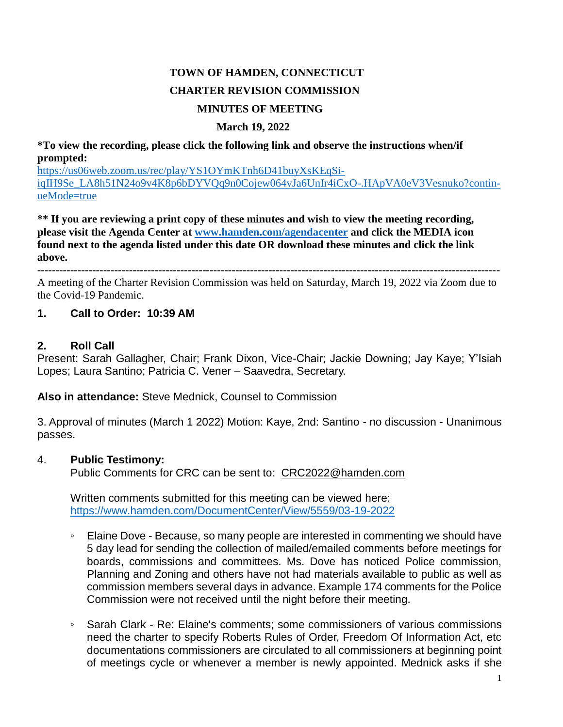# **TOWN OF HAMDEN, CONNECTICUT CHARTER REVISION COMMISSION MINUTES OF MEETING**

#### **March 19, 2022**

**\*To view the recording, please click the following link and observe the instructions when/if prompted:**

[https://us06web.zoom.us/rec/play/YS1OYmKTnh6D41buyXsKEqSi](https://us06web.zoom.us/rec/play/YS1OYmKTnh6D41buyXsKEqSiiqIH9Se_LA8h51N24o9v4K8p6bDYVQq9n0Cojew064vJa6UnIr4iCxO-.HApVA0eV3Vesnuko?continueMode=true)[iqIH9Se\\_LA8h51N24o9v4K8p6bDYVQq9n0Cojew064vJa6UnIr4iCxO-.HApVA0eV3Vesnuko?contin](https://us06web.zoom.us/rec/play/YS1OYmKTnh6D41buyXsKEqSiiqIH9Se_LA8h51N24o9v4K8p6bDYVQq9n0Cojew064vJa6UnIr4iCxO-.HApVA0eV3Vesnuko?continueMode=true)[ueMode=true](https://us06web.zoom.us/rec/play/YS1OYmKTnh6D41buyXsKEqSiiqIH9Se_LA8h51N24o9v4K8p6bDYVQq9n0Cojew064vJa6UnIr4iCxO-.HApVA0eV3Vesnuko?continueMode=true)

**\*\* If you are reviewing a print copy of these minutes and wish to view the meeting recording, please visit the Agenda Center at [www.hamden.com/agendacenter](http://www.hamden.com/agendacenter) and click the MEDIA icon found next to the agenda listed under this date OR download these minutes and click the link above.**

**------------------------------------------------------------------------------------------------------------------------------**

A meeting of the Charter Revision Commission was held on Saturday, March 19, 2022 via Zoom due to the Covid-19 Pandemic.

### **1. Call to Order: 10:39 AM**

#### **2. Roll Call**

Present: Sarah Gallagher, Chair; Frank Dixon, Vice-Chair; Jackie Downing; Jay Kaye; Y'Isiah Lopes; Laura Santino; Patricia C. Vener – Saavedra, Secretary.

**Also in attendance:** Steve Mednick, Counsel to Commission

3. Approval of minutes (March 1 2022) Motion: Kaye, 2nd: Santino - no discussion - Unanimous passes.

### 4. **Public Testimony:**

Public Comments for CRC can be sent to: [CRC2022@hamden.com](mailto:CRC2022@hamden.com)

Written comments submitted for this meeting can be viewed here: <https://www.hamden.com/DocumentCenter/View/5559/03-19-2022>

- Elaine Dove Because, so many people are interested in commenting we should have 5 day lead for sending the collection of mailed/emailed comments before meetings for boards, commissions and committees. Ms. Dove has noticed Police commission, Planning and Zoning and others have not had materials available to public as well as commission members several days in advance. Example 174 comments for the Police Commission were not received until the night before their meeting.
- Sarah Clark Re: Elaine's comments; some commissioners of various commissions need the charter to specify Roberts Rules of Order, Freedom Of Information Act, etc documentations commissioners are circulated to all commissioners at beginning point of meetings cycle or whenever a member is newly appointed. Mednick asks if she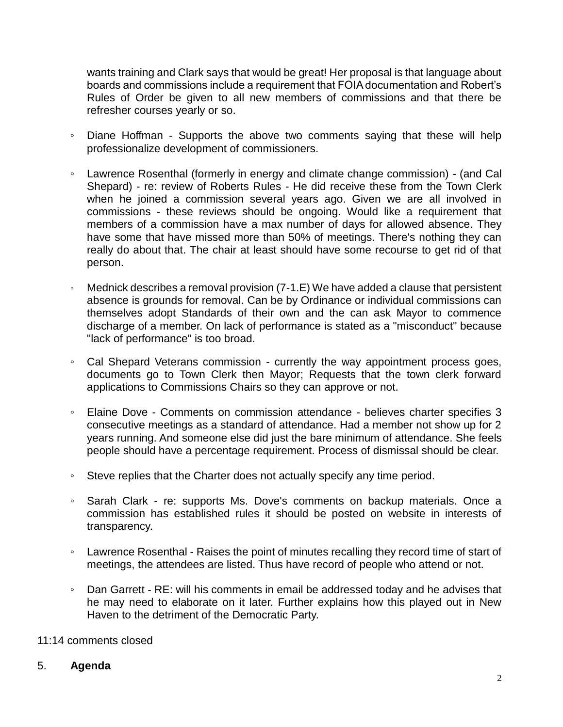wants training and Clark says that would be great! Her proposal is that language about boards and commissions include a requirement that FOIA documentation and Robert's Rules of Order be given to all new members of commissions and that there be refresher courses yearly or so.

- Diane Hoffman Supports the above two comments saying that these will help professionalize development of commissioners.
- Lawrence Rosenthal (formerly in energy and climate change commission) (and Cal Shepard) - re: review of Roberts Rules - He did receive these from the Town Clerk when he joined a commission several years ago. Given we are all involved in commissions - these reviews should be ongoing. Would like a requirement that members of a commission have a max number of days for allowed absence. They have some that have missed more than 50% of meetings. There's nothing they can really do about that. The chair at least should have some recourse to get rid of that person.
- Mednick describes a removal provision (7-1.E) We have added a clause that persistent absence is grounds for removal. Can be by Ordinance or individual commissions can themselves adopt Standards of their own and the can ask Mayor to commence discharge of a member. On lack of performance is stated as a "misconduct" because "lack of performance" is too broad.
- Cal Shepard Veterans commission currently the way appointment process goes, documents go to Town Clerk then Mayor; Requests that the town clerk forward applications to Commissions Chairs so they can approve or not.
- Elaine Dove Comments on commission attendance believes charter specifies 3 consecutive meetings as a standard of attendance. Had a member not show up for 2 years running. And someone else did just the bare minimum of attendance. She feels people should have a percentage requirement. Process of dismissal should be clear.
- Steve replies that the Charter does not actually specify any time period.
- Sarah Clark re: supports Ms. Dove's comments on backup materials. Once a commission has established rules it should be posted on website in interests of transparency.
- Lawrence Rosenthal Raises the point of minutes recalling they record time of start of meetings, the attendees are listed. Thus have record of people who attend or not.
- Dan Garrett RE: will his comments in email be addressed today and he advises that he may need to elaborate on it later. Further explains how this played out in New Haven to the detriment of the Democratic Party.

### 11:14 comments closed

#### 5. **Agenda**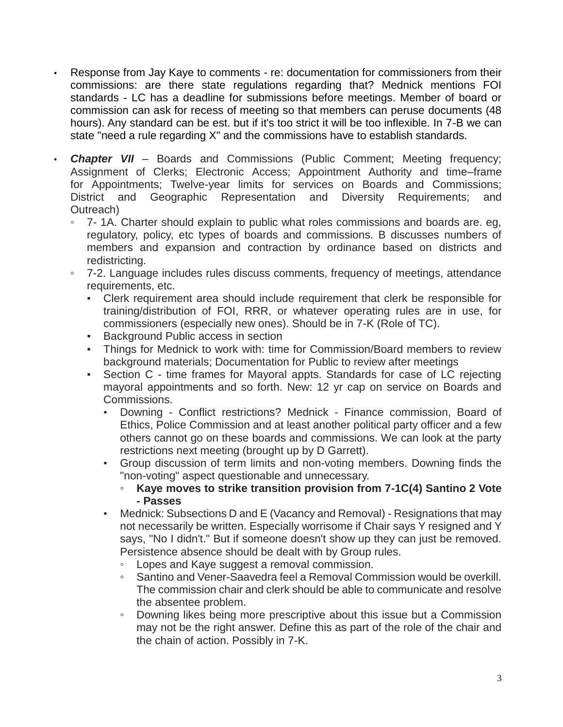- Response from Jay Kaye to comments re: documentation for commissioners from their commissions: are there state regulations regarding that? Mednick mentions FOI standards - LC has a deadline for submissions before meetings. Member of board or commission can ask for recess of meeting so that members can peruse documents (48 hours). Any standard can be est. but if it's too strict it will be too inflexible. In 7-B we can state "need a rule regarding X" and the commissions have to establish standards.
- *Chapter VII* Boards and Commissions (Public Comment; Meeting frequency; Assignment of Clerks; Electronic Access; Appointment Authority and time–frame for Appointments; Twelve-year limits for services on Boards and Commissions; District and Geographic Representation and Diversity Requirements; and Outreach)
	- 7- 1A. Charter should explain to public what roles commissions and boards are. eg, regulatory, policy, etc types of boards and commissions. B discusses numbers of members and expansion and contraction by ordinance based on districts and redistricting.
	- 7-2. Language includes rules discuss comments, frequency of meetings, attendance requirements, etc.
		- Clerk requirement area should include requirement that clerk be responsible for training/distribution of FOI, RRR, or whatever operating rules are in use, for commissioners (especially new ones). Should be in 7-K (Role of TC).
		- Background Public access in section
		- Things for Mednick to work with: time for Commission/Board members to review background materials; Documentation for Public to review after meetings
		- Section C time frames for Mayoral appts. Standards for case of LC rejecting mayoral appointments and so forth. New: 12 yr cap on service on Boards and Commissions.
			- Downing Conflict restrictions? Mednick Finance commission, Board of Ethics, Police Commission and at least another political party officer and a few others cannot go on these boards and commissions. We can look at the party restrictions next meeting (brought up by D Garrett).
			- Group discussion of term limits and non-voting members. Downing finds the "non-voting" aspect questionable and unnecessary.
				- **Kaye moves to strike transition provision from 7-1C(4) Santino 2 Vote - Passes**
			- Mednick: Subsections D and E (Vacancy and Removal) Resignations that may not necessarily be written. Especially worrisome if Chair says Y resigned and Y says, "No I didn't." But if someone doesn't show up they can just be removed. Persistence absence should be dealt with by Group rules.
				- Lopes and Kaye suggest a removal commission.
				- Santino and Vener-Saavedra feel a Removal Commission would be overkill. The commission chair and clerk should be able to communicate and resolve the absentee problem.
				- Downing likes being more prescriptive about this issue but a Commission may not be the right answer. Define this as part of the role of the chair and the chain of action. Possibly in 7-K.